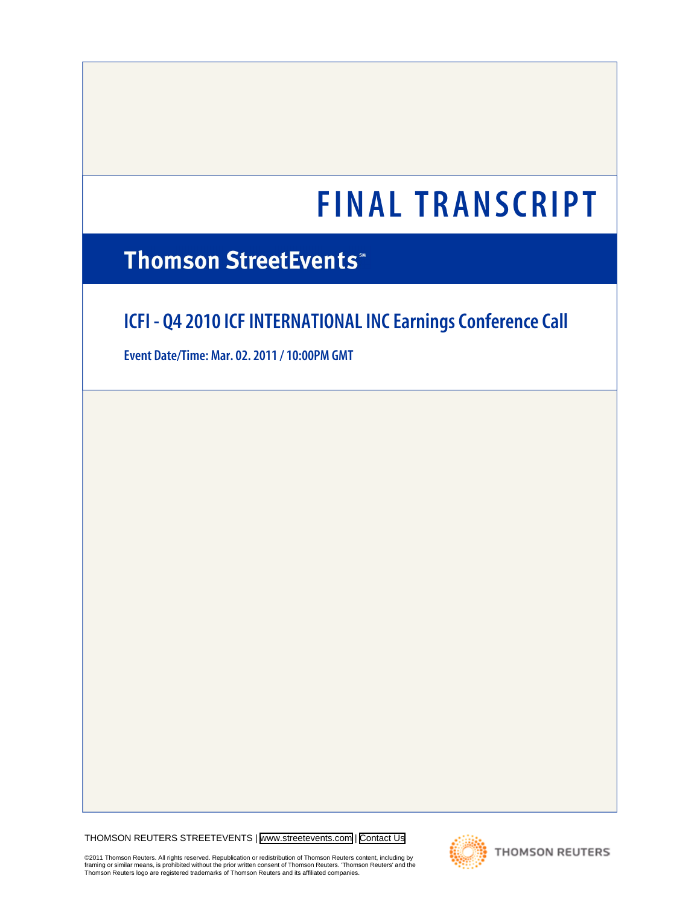# **Thomson StreetEvents**\*

# **ICFI - Q4 2010 ICF INTERNATIONAL INC Earnings Conference Call**

**Event Date/Time: Mar. 02. 2011 / 10:00PM GMT**

THOMSON REUTERS STREETEVENTS | [www.streetevents.com](http://www.streetevents.com) | [Contact Us](http://www010.streetevents.com/contact.asp)

**THOMSON REUTERS** 

©2011 Thomson Reuters. All rights reserved. Republication or redistribution of Thomson Reuters content, including by<br>framing or similar means, is prohibited without the prior written consent of Thomson Reuters. 'Thomson Re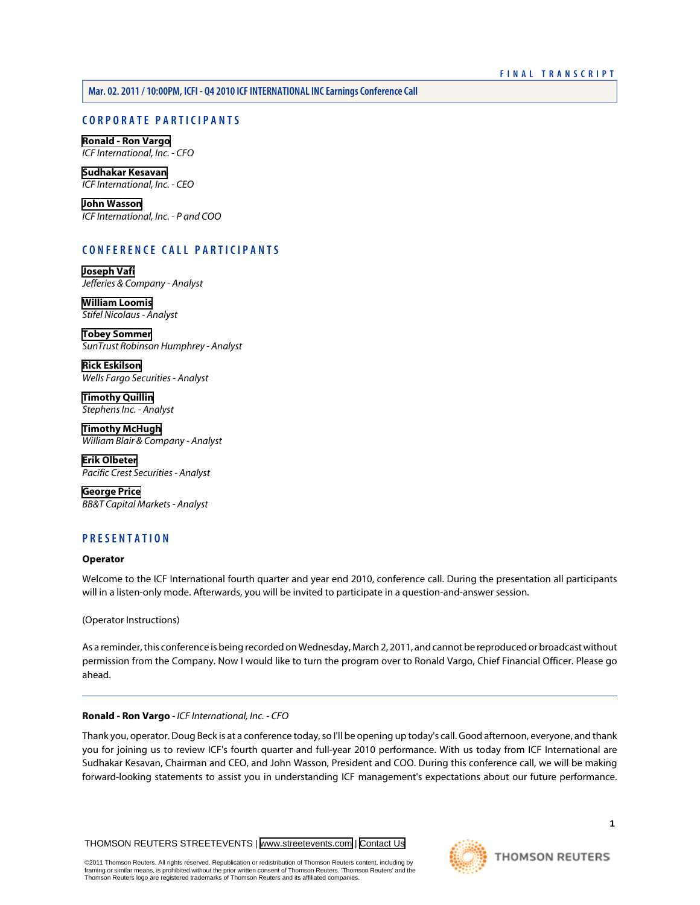# **CORPORATE PARTICIPANTS**

**[Ronald - Ron Vargo](#page-1-0)** *ICF International, Inc. - CFO*

**[Sudhakar Kesavan](#page-2-0)** *ICF International, Inc. - CEO*

**[John Wasson](#page-3-0)** *ICF International, Inc. - P and COO*

# **CONFERENCE CALL PARTICIPANTS**

**[Joseph Vafi](#page-5-0)** *Jefferies & Company - Analyst*

**[William Loomis](#page-7-0)** *Stifel Nicolaus - Analyst*

**[Tobey Sommer](#page-8-0)** *SunTrust Robinson Humphrey - Analyst*

**[Rick Eskilson](#page-12-0)** *Wells Fargo Securities - Analyst*

**[Timothy Quillin](#page-13-0)** *Stephens Inc. - Analyst*

**[Timothy McHugh](#page-15-0)** *William Blair & Company - Analyst*

**[Erik Olbeter](#page-16-0)** *Pacific Crest Securities - Analyst*

**[George Price](#page-9-0)** *BB&T Capital Markets - Analyst*

# **PRESENTATION**

# **Operator**

Welcome to the ICF International fourth quarter and year end 2010, conference call. During the presentation all participants will in a listen-only mode. Afterwards, you will be invited to participate in a question-and-answer session.

(Operator Instructions)

<span id="page-1-0"></span>As a reminder, this conference is being recorded on Wednesday, March 2, 2011, and cannot be reproduced or broadcast without permission from the Company. Now I would like to turn the program over to Ronald Vargo, Chief Financial Officer. Please go ahead.

# **Ronald - Ron Vargo** *- ICF International, Inc. - CFO*

Thank you, operator. Doug Beck is at a conference today, so I'll be opening up today's call. Good afternoon, everyone, and thank you for joining us to review ICF's fourth quarter and full-year 2010 performance. With us today from ICF International are Sudhakar Kesavan, Chairman and CEO, and John Wasson, President and COO. During this conference call, we will be making forward-looking statements to assist you in understanding ICF management's expectations about our future performance.

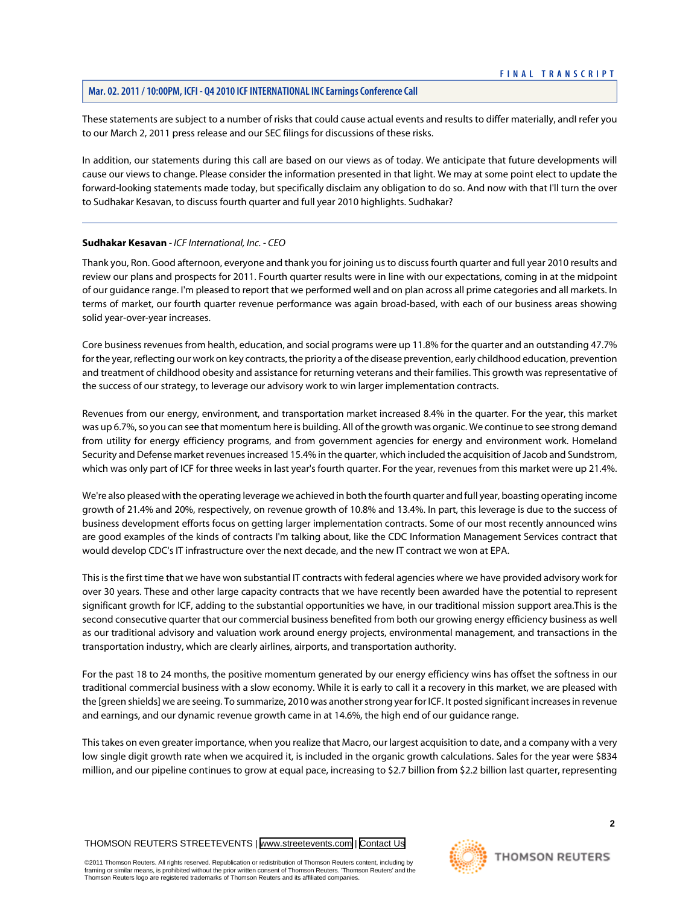These statements are subject to a number of risks that could cause actual events and results to differ materially, andI refer you to our March 2, 2011 press release and our SEC filings for discussions of these risks.

In addition, our statements during this call are based on our views as of today. We anticipate that future developments will cause our views to change. Please consider the information presented in that light. We may at some point elect to update the forward-looking statements made today, but specifically disclaim any obligation to do so. And now with that I'll turn the over to Sudhakar Kesavan, to discuss fourth quarter and full year 2010 highlights. Sudhakar?

# <span id="page-2-0"></span>**Sudhakar Kesavan** *- ICF International, Inc. - CEO*

Thank you, Ron. Good afternoon, everyone and thank you for joining us to discuss fourth quarter and full year 2010 results and review our plans and prospects for 2011. Fourth quarter results were in line with our expectations, coming in at the midpoint of our guidance range. I'm pleased to report that we performed well and on plan across all prime categories and all markets. In terms of market, our fourth quarter revenue performance was again broad-based, with each of our business areas showing solid year-over-year increases.

Core business revenues from health, education, and social programs were up 11.8% for the quarter and an outstanding 47.7% for the year, reflecting our work on key contracts, the priority a of the disease prevention, early childhood education, prevention and treatment of childhood obesity and assistance for returning veterans and their families. This growth was representative of the success of our strategy, to leverage our advisory work to win larger implementation contracts.

Revenues from our energy, environment, and transportation market increased 8.4% in the quarter. For the year, this market was up 6.7%, so you can see that momentum here is building. All of the growth was organic. We continue to see strong demand from utility for energy efficiency programs, and from government agencies for energy and environment work. Homeland Security and Defense market revenues increased 15.4% in the quarter, which included the acquisition of Jacob and Sundstrom, which was only part of ICF for three weeks in last year's fourth quarter. For the year, revenues from this market were up 21.4%.

We're also pleased with the operating leverage we achieved in both the fourth quarter and full year, boasting operating income growth of 21.4% and 20%, respectively, on revenue growth of 10.8% and 13.4%. In part, this leverage is due to the success of business development efforts focus on getting larger implementation contracts. Some of our most recently announced wins are good examples of the kinds of contracts I'm talking about, like the CDC Information Management Services contract that would develop CDC's IT infrastructure over the next decade, and the new IT contract we won at EPA.

This is the first time that we have won substantial IT contracts with federal agencies where we have provided advisory work for over 30 years. These and other large capacity contracts that we have recently been awarded have the potential to represent significant growth for ICF, adding to the substantial opportunities we have, in our traditional mission support area.This is the second consecutive quarter that our commercial business benefited from both our growing energy efficiency business as well as our traditional advisory and valuation work around energy projects, environmental management, and transactions in the transportation industry, which are clearly airlines, airports, and transportation authority.

For the past 18 to 24 months, the positive momentum generated by our energy efficiency wins has offset the softness in our traditional commercial business with a slow economy. While it is early to call it a recovery in this market, we are pleased with the [green shields] we are seeing. To summarize, 2010 was another strong year for ICF. It posted significant increases in revenue and earnings, and our dynamic revenue growth came in at 14.6%, the high end of our guidance range.

This takes on even greater importance, when you realize that Macro, our largest acquisition to date, and a company with a very low single digit growth rate when we acquired it, is included in the organic growth calculations. Sales for the year were \$834 million, and our pipeline continues to grow at equal pace, increasing to \$2.7 billion from \$2.2 billion last quarter, representing

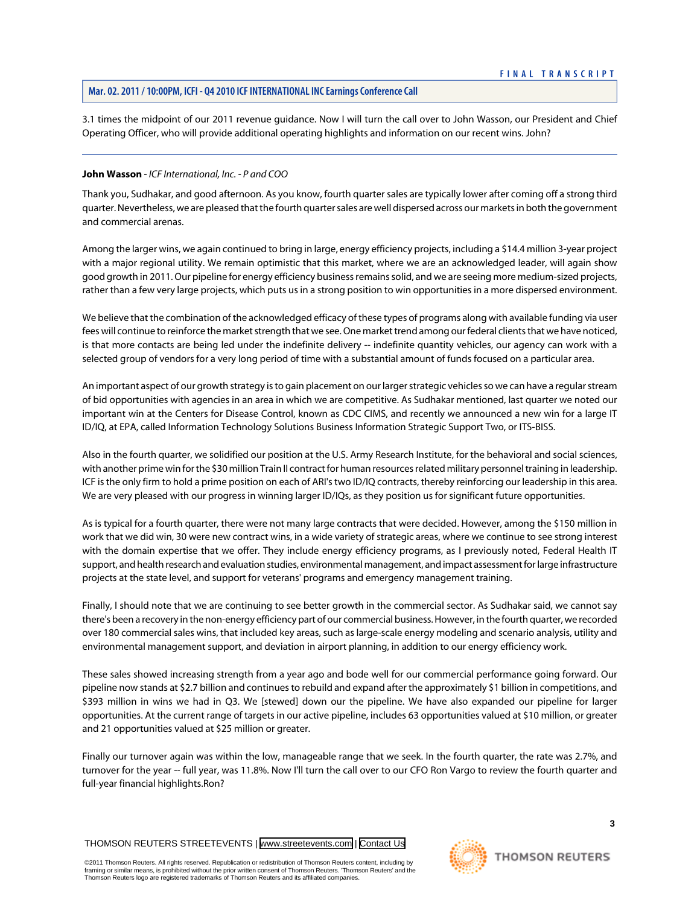3.1 times the midpoint of our 2011 revenue guidance. Now I will turn the call over to John Wasson, our President and Chief Operating Officer, who will provide additional operating highlights and information on our recent wins. John?

#### <span id="page-3-0"></span>**John Wasson** *- ICF International, Inc. - P and COO*

Thank you, Sudhakar, and good afternoon. As you know, fourth quarter sales are typically lower after coming off a strong third quarter. Nevertheless, we are pleased that the fourth quarter sales are well dispersed across our markets in both the government and commercial arenas.

Among the larger wins, we again continued to bring in large, energy efficiency projects, including a \$14.4 million 3-year project with a major regional utility. We remain optimistic that this market, where we are an acknowledged leader, will again show good growth in 2011. Our pipeline for energy efficiency business remains solid, and we are seeing more medium-sized projects, rather than a few very large projects, which puts us in a strong position to win opportunities in a more dispersed environment.

We believe that the combination of the acknowledged efficacy of these types of programs along with available funding via user fees will continue to reinforce the market strength that we see. One market trend among our federal clients that we have noticed, is that more contacts are being led under the indefinite delivery -- indefinite quantity vehicles, our agency can work with a selected group of vendors for a very long period of time with a substantial amount of funds focused on a particular area.

An important aspect of our growth strategy is to gain placement on our larger strategic vehicles so we can have a regular stream of bid opportunities with agencies in an area in which we are competitive. As Sudhakar mentioned, last quarter we noted our important win at the Centers for Disease Control, known as CDC CIMS, and recently we announced a new win for a large IT ID/IQ, at EPA, called Information Technology Solutions Business Information Strategic Support Two, or ITS-BISS.

Also in the fourth quarter, we solidified our position at the U.S. Army Research Institute, for the behavioral and social sciences, with another prime win for the \$30 million Train II contract for human resources related military personnel training in leadership. ICF is the only firm to hold a prime position on each of ARI's two ID/IQ contracts, thereby reinforcing our leadership in this area. We are very pleased with our progress in winning larger ID/IQs, as they position us for significant future opportunities.

As is typical for a fourth quarter, there were not many large contracts that were decided. However, among the \$150 million in work that we did win, 30 were new contract wins, in a wide variety of strategic areas, where we continue to see strong interest with the domain expertise that we offer. They include energy efficiency programs, as I previously noted, Federal Health IT support, and health research and evaluation studies, environmental management, and impact assessment for large infrastructure projects at the state level, and support for veterans' programs and emergency management training.

Finally, I should note that we are continuing to see better growth in the commercial sector. As Sudhakar said, we cannot say there's been a recovery in the non-energy efficiency part of our commercial business. However, in the fourth quarter, we recorded over 180 commercial sales wins, that included key areas, such as large-scale energy modeling and scenario analysis, utility and environmental management support, and deviation in airport planning, in addition to our energy efficiency work.

These sales showed increasing strength from a year ago and bode well for our commercial performance going forward. Our pipeline now stands at \$2.7 billion and continues to rebuild and expand after the approximately \$1 billion in competitions, and \$393 million in wins we had in Q3. We [stewed] down our the pipeline. We have also expanded our pipeline for larger opportunities. At the current range of targets in our active pipeline, includes 63 opportunities valued at \$10 million, or greater and 21 opportunities valued at \$25 million or greater.

Finally our turnover again was within the low, manageable range that we seek. In the fourth quarter, the rate was 2.7%, and turnover for the year -- full year, was 11.8%. Now I'll turn the call over to our CFO Ron Vargo to review the fourth quarter and full-year financial highlights.Ron?

THOMSON REUTERS STREETEVENTS | [www.streetevents.com](http://www.streetevents.com) | [Contact Us](http://www010.streetevents.com/contact.asp)

©2011 Thomson Reuters. All rights reserved. Republication or redistribution of Thomson Reuters content, including by framing or similar means, is prohibited without the prior written consent of Thomson Reuters. 'Thomson Reuters' and the Thomson Reuters logo are registered trademarks of Thomson Reuters and its affiliated companies.



**3**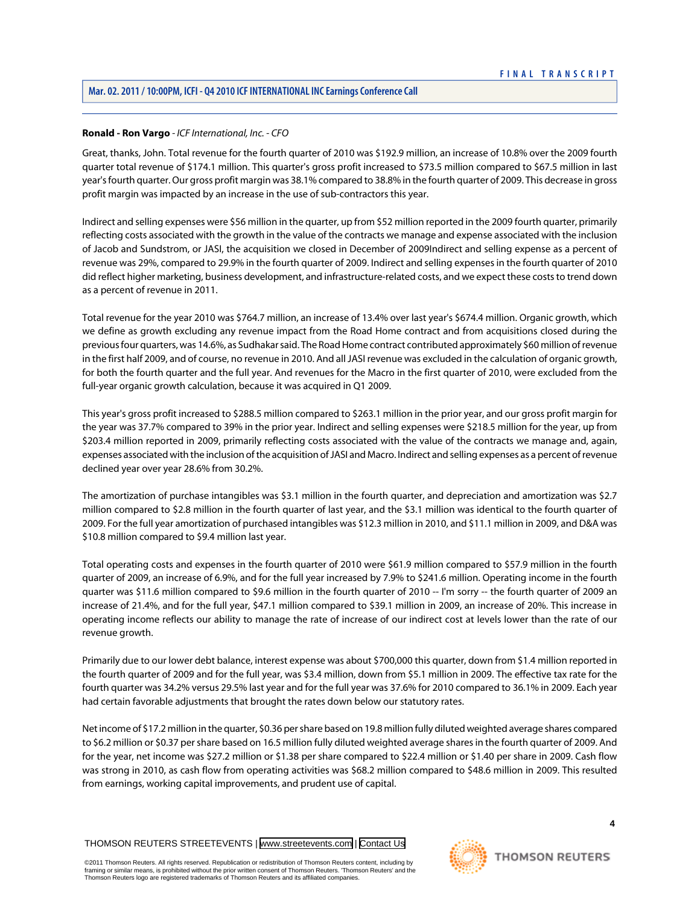#### **Ronald - Ron Vargo** *- ICF International, Inc. - CFO*

Great, thanks, John. Total revenue for the fourth quarter of 2010 was \$192.9 million, an increase of 10.8% over the 2009 fourth quarter total revenue of \$174.1 million. This quarter's gross profit increased to \$73.5 million compared to \$67.5 million in last year's fourth quarter. Our gross profit margin was 38.1% compared to 38.8% in the fourth quarter of 2009. This decrease in gross profit margin was impacted by an increase in the use of sub-contractors this year.

Indirect and selling expenses were \$56 million in the quarter, up from \$52 million reported in the 2009 fourth quarter, primarily reflecting costs associated with the growth in the value of the contracts we manage and expense associated with the inclusion of Jacob and Sundstrom, or JASI, the acquisition we closed in December of 2009Indirect and selling expense as a percent of revenue was 29%, compared to 29.9% in the fourth quarter of 2009. Indirect and selling expenses in the fourth quarter of 2010 did reflect higher marketing, business development, and infrastructure-related costs, and we expect these costs to trend down as a percent of revenue in 2011.

Total revenue for the year 2010 was \$764.7 million, an increase of 13.4% over last year's \$674.4 million. Organic growth, which we define as growth excluding any revenue impact from the Road Home contract and from acquisitions closed during the previous four quarters, was 14.6%, as Sudhakar said. The Road Home contract contributed approximately \$60 million of revenue in the first half 2009, and of course, no revenue in 2010. And all JASI revenue was excluded in the calculation of organic growth, for both the fourth quarter and the full year. And revenues for the Macro in the first quarter of 2010, were excluded from the full-year organic growth calculation, because it was acquired in Q1 2009.

This year's gross profit increased to \$288.5 million compared to \$263.1 million in the prior year, and our gross profit margin for the year was 37.7% compared to 39% in the prior year. Indirect and selling expenses were \$218.5 million for the year, up from \$203.4 million reported in 2009, primarily reflecting costs associated with the value of the contracts we manage and, again, expenses associated with the inclusion of the acquisition of JASI and Macro. Indirect and selling expenses as a percent of revenue declined year over year 28.6% from 30.2%.

The amortization of purchase intangibles was \$3.1 million in the fourth quarter, and depreciation and amortization was \$2.7 million compared to \$2.8 million in the fourth quarter of last year, and the \$3.1 million was identical to the fourth quarter of 2009. For the full year amortization of purchased intangibles was \$12.3 million in 2010, and \$11.1 million in 2009, and D&A was \$10.8 million compared to \$9.4 million last year.

Total operating costs and expenses in the fourth quarter of 2010 were \$61.9 million compared to \$57.9 million in the fourth quarter of 2009, an increase of 6.9%, and for the full year increased by 7.9% to \$241.6 million. Operating income in the fourth quarter was \$11.6 million compared to \$9.6 million in the fourth quarter of 2010 -- I'm sorry -- the fourth quarter of 2009 an increase of 21.4%, and for the full year, \$47.1 million compared to \$39.1 million in 2009, an increase of 20%. This increase in operating income reflects our ability to manage the rate of increase of our indirect cost at levels lower than the rate of our revenue growth.

Primarily due to our lower debt balance, interest expense was about \$700,000 this quarter, down from \$1.4 million reported in the fourth quarter of 2009 and for the full year, was \$3.4 million, down from \$5.1 million in 2009. The effective tax rate for the fourth quarter was 34.2% versus 29.5% last year and for the full year was 37.6% for 2010 compared to 36.1% in 2009. Each year had certain favorable adjustments that brought the rates down below our statutory rates.

Net income of \$17.2 million in the quarter, \$0.36 per share based on 19.8 million fully diluted weighted average shares compared to \$6.2 million or \$0.37 per share based on 16.5 million fully diluted weighted average shares in the fourth quarter of 2009. And for the year, net income was \$27.2 million or \$1.38 per share compared to \$22.4 million or \$1.40 per share in 2009. Cash flow was strong in 2010, as cash flow from operating activities was \$68.2 million compared to \$48.6 million in 2009. This resulted from earnings, working capital improvements, and prudent use of capital.

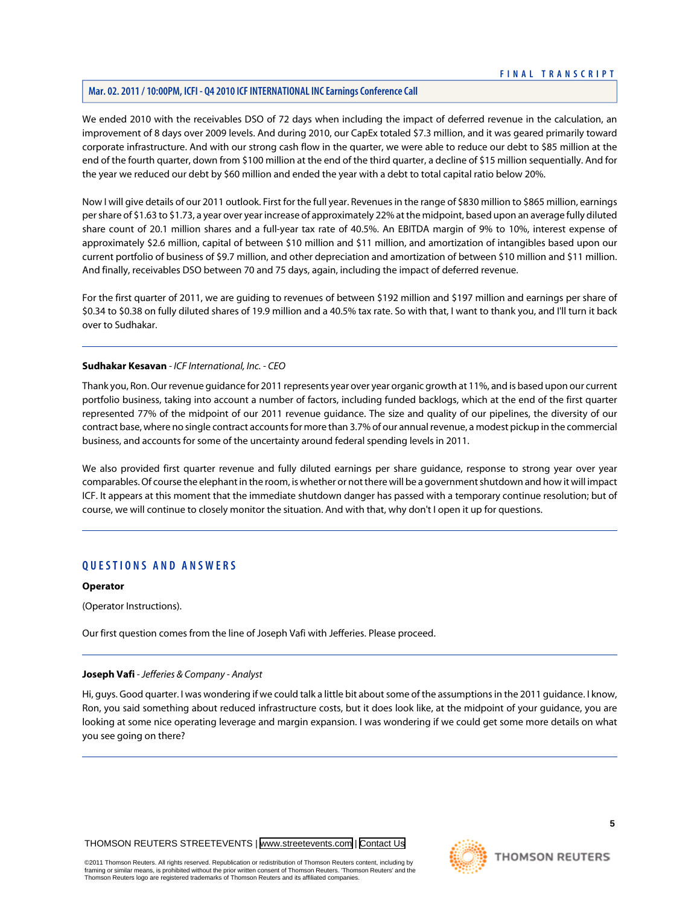We ended 2010 with the receivables DSO of 72 days when including the impact of deferred revenue in the calculation, an improvement of 8 days over 2009 levels. And during 2010, our CapEx totaled \$7.3 million, and it was geared primarily toward corporate infrastructure. And with our strong cash flow in the quarter, we were able to reduce our debt to \$85 million at the end of the fourth quarter, down from \$100 million at the end of the third quarter, a decline of \$15 million sequentially. And for the year we reduced our debt by \$60 million and ended the year with a debt to total capital ratio below 20%.

Now I will give details of our 2011 outlook. First for the full year. Revenues in the range of \$830 million to \$865 million, earnings per share of \$1.63 to \$1.73, a year over year increase of approximately 22% at the midpoint, based upon an average fully diluted share count of 20.1 million shares and a full-year tax rate of 40.5%. An EBITDA margin of 9% to 10%, interest expense of approximately \$2.6 million, capital of between \$10 million and \$11 million, and amortization of intangibles based upon our current portfolio of business of \$9.7 million, and other depreciation and amortization of between \$10 million and \$11 million. And finally, receivables DSO between 70 and 75 days, again, including the impact of deferred revenue.

For the first quarter of 2011, we are guiding to revenues of between \$192 million and \$197 million and earnings per share of \$0.34 to \$0.38 on fully diluted shares of 19.9 million and a 40.5% tax rate. So with that, I want to thank you, and I'll turn it back over to Sudhakar.

#### **Sudhakar Kesavan** *- ICF International, Inc. - CEO*

Thank you, Ron. Our revenue guidance for 2011 represents year over year organic growth at 11%, and is based upon our current portfolio business, taking into account a number of factors, including funded backlogs, which at the end of the first quarter represented 77% of the midpoint of our 2011 revenue guidance. The size and quality of our pipelines, the diversity of our contract base, where no single contract accounts for more than 3.7% of our annual revenue, a modest pickup in the commercial business, and accounts for some of the uncertainty around federal spending levels in 2011.

We also provided first quarter revenue and fully diluted earnings per share guidance, response to strong year over year comparables. Of course the elephant in the room, is whether or not there will be a government shutdown and how it will impact ICF. It appears at this moment that the immediate shutdown danger has passed with a temporary continue resolution; but of course, we will continue to closely monitor the situation. And with that, why don't I open it up for questions.

# **QUESTIONS AND ANSWERS**

#### **Operator**

<span id="page-5-0"></span>(Operator Instructions).

Our first question comes from the line of Joseph Vafi with Jefferies. Please proceed.

#### **Joseph Vafi** *- Jefferies & Company - Analyst*

Hi, guys. Good quarter. I was wondering if we could talk a little bit about some of the assumptions in the 2011 guidance. I know, Ron, you said something about reduced infrastructure costs, but it does look like, at the midpoint of your guidance, you are looking at some nice operating leverage and margin expansion. I was wondering if we could get some more details on what you see going on there?

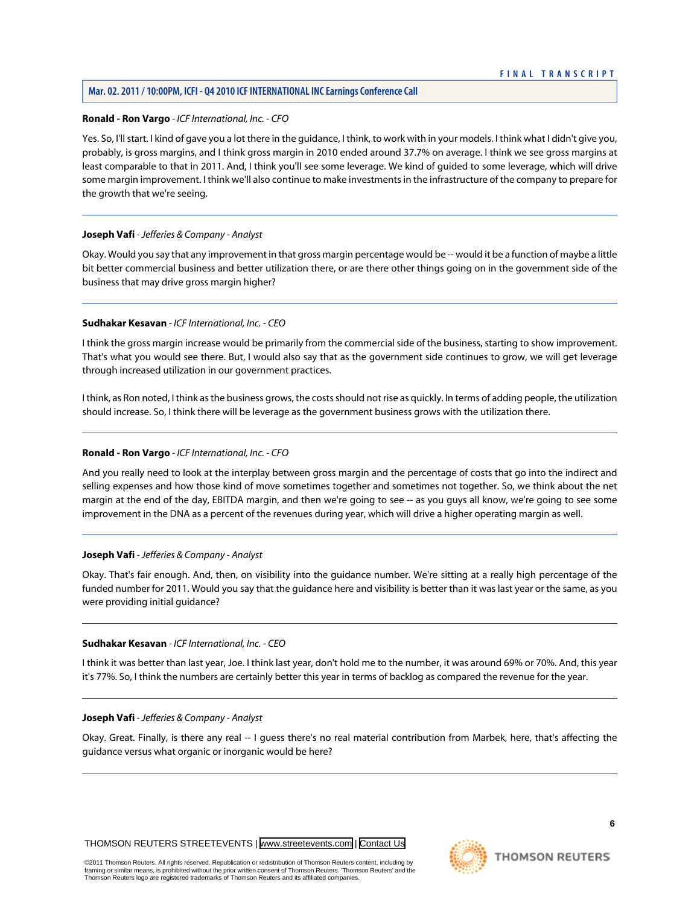# **Ronald - Ron Vargo** *- ICF International, Inc. - CFO*

Yes. So, I'll start. I kind of gave you a lot there in the guidance, I think, to work with in your models. I think what I didn't give you, probably, is gross margins, and I think gross margin in 2010 ended around 37.7% on average. I think we see gross margins at least comparable to that in 2011. And, I think you'll see some leverage. We kind of guided to some leverage, which will drive some margin improvement. I think we'll also continue to make investments in the infrastructure of the company to prepare for the growth that we're seeing.

# **Joseph Vafi** *- Jefferies & Company - Analyst*

Okay. Would you say that any improvement in that gross margin percentage would be -- would it be a function of maybe a little bit better commercial business and better utilization there, or are there other things going on in the government side of the business that may drive gross margin higher?

#### **Sudhakar Kesavan** *- ICF International, Inc. - CEO*

I think the gross margin increase would be primarily from the commercial side of the business, starting to show improvement. That's what you would see there. But, I would also say that as the government side continues to grow, we will get leverage through increased utilization in our government practices.

I think, as Ron noted, I think as the business grows, the costs should not rise as quickly. In terms of adding people, the utilization should increase. So, I think there will be leverage as the government business grows with the utilization there.

#### **Ronald - Ron Vargo** *- ICF International, Inc. - CFO*

And you really need to look at the interplay between gross margin and the percentage of costs that go into the indirect and selling expenses and how those kind of move sometimes together and sometimes not together. So, we think about the net margin at the end of the day, EBITDA margin, and then we're going to see -- as you guys all know, we're going to see some improvement in the DNA as a percent of the revenues during year, which will drive a higher operating margin as well.

#### **Joseph Vafi** *- Jefferies & Company - Analyst*

Okay. That's fair enough. And, then, on visibility into the guidance number. We're sitting at a really high percentage of the funded number for 2011. Would you say that the guidance here and visibility is better than it was last year or the same, as you were providing initial guidance?

#### **Sudhakar Kesavan** *- ICF International, Inc. - CEO*

I think it was better than last year, Joe. I think last year, don't hold me to the number, it was around 69% or 70%. And, this year it's 77%. So, I think the numbers are certainly better this year in terms of backlog as compared the revenue for the year.

#### **Joseph Vafi** *- Jefferies & Company - Analyst*

Okay. Great. Finally, is there any real -- I guess there's no real material contribution from Marbek, here, that's affecting the guidance versus what organic or inorganic would be here?

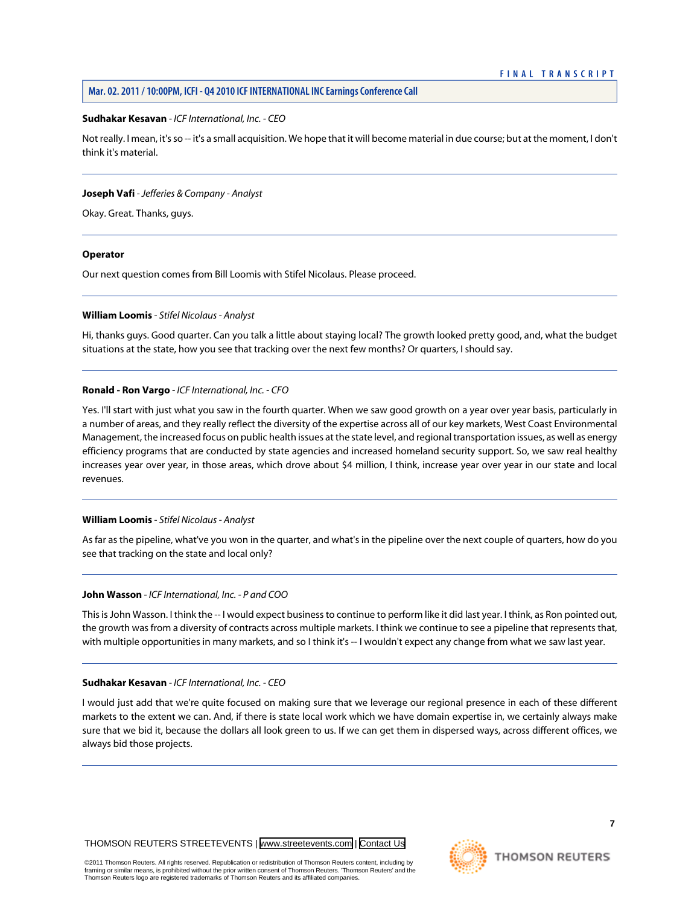#### **Sudhakar Kesavan** *- ICF International, Inc. - CEO*

Not really. I mean, it's so -- it's a small acquisition. We hope that it will become material in due course; but at the moment, I don't think it's material.

#### **Joseph Vafi** *- Jefferies & Company - Analyst*

Okay. Great. Thanks, guys.

#### **Operator**

<span id="page-7-0"></span>Our next question comes from Bill Loomis with Stifel Nicolaus. Please proceed.

#### **William Loomis** *- Stifel Nicolaus - Analyst*

Hi, thanks guys. Good quarter. Can you talk a little about staying local? The growth looked pretty good, and, what the budget situations at the state, how you see that tracking over the next few months? Or quarters, I should say.

#### **Ronald - Ron Vargo** *- ICF International, Inc. - CFO*

Yes. I'll start with just what you saw in the fourth quarter. When we saw good growth on a year over year basis, particularly in a number of areas, and they really reflect the diversity of the expertise across all of our key markets, West Coast Environmental Management, the increased focus on public health issues at the state level, and regional transportation issues, as well as energy efficiency programs that are conducted by state agencies and increased homeland security support. So, we saw real healthy increases year over year, in those areas, which drove about \$4 million, I think, increase year over year in our state and local revenues.

# **William Loomis** *- Stifel Nicolaus - Analyst*

As far as the pipeline, what've you won in the quarter, and what's in the pipeline over the next couple of quarters, how do you see that tracking on the state and local only?

#### **John Wasson** *- ICF International, Inc. - P and COO*

This is John Wasson. I think the -- I would expect business to continue to perform like it did last year. I think, as Ron pointed out, the growth was from a diversity of contracts across multiple markets. I think we continue to see a pipeline that represents that, with multiple opportunities in many markets, and so I think it's -- I wouldn't expect any change from what we saw last year.

#### **Sudhakar Kesavan** *- ICF International, Inc. - CEO*

I would just add that we're quite focused on making sure that we leverage our regional presence in each of these different markets to the extent we can. And, if there is state local work which we have domain expertise in, we certainly always make sure that we bid it, because the dollars all look green to us. If we can get them in dispersed ways, across different offices, we always bid those projects.

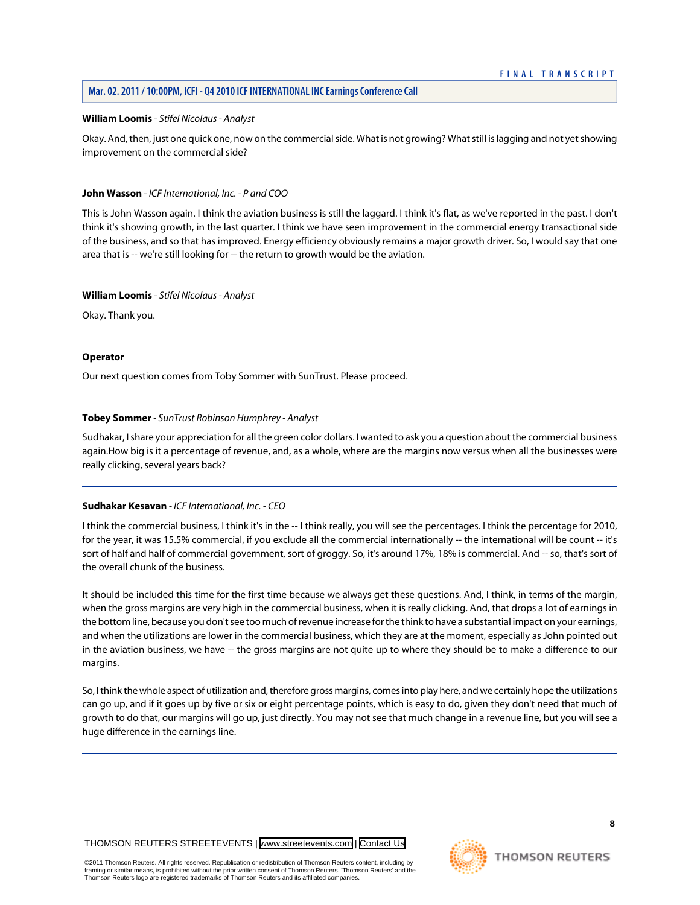#### **Mar. 02. 2011 / 10:00PM, ICFI - Q4 2010 ICF INTERNATIONAL INC Earnings Conference Call**

#### **William Loomis** *- Stifel Nicolaus - Analyst*

Okay. And, then, just one quick one, now on the commercial side. What is not growing? What still is lagging and not yet showing improvement on the commercial side?

#### **John Wasson** *- ICF International, Inc. - P and COO*

This is John Wasson again. I think the aviation business is still the laggard. I think it's flat, as we've reported in the past. I don't think it's showing growth, in the last quarter. I think we have seen improvement in the commercial energy transactional side of the business, and so that has improved. Energy efficiency obviously remains a major growth driver. So, I would say that one area that is -- we're still looking for -- the return to growth would be the aviation.

#### **William Loomis** *- Stifel Nicolaus - Analyst*

Okay. Thank you.

#### **Operator**

<span id="page-8-0"></span>Our next question comes from Toby Sommer with SunTrust. Please proceed.

#### **Tobey Sommer** *- SunTrust Robinson Humphrey - Analyst*

Sudhakar, I share your appreciation for all the green color dollars. I wanted to ask you a question about the commercial business again.How big is it a percentage of revenue, and, as a whole, where are the margins now versus when all the businesses were really clicking, several years back?

#### **Sudhakar Kesavan** *- ICF International, Inc. - CEO*

I think the commercial business, I think it's in the -- I think really, you will see the percentages. I think the percentage for 2010, for the year, it was 15.5% commercial, if you exclude all the commercial internationally -- the international will be count -- it's sort of half and half of commercial government, sort of groggy. So, it's around 17%, 18% is commercial. And -- so, that's sort of the overall chunk of the business.

It should be included this time for the first time because we always get these questions. And, I think, in terms of the margin, when the gross margins are very high in the commercial business, when it is really clicking. And, that drops a lot of earnings in the bottom line, because you don't see too much of revenue increase for the think to have a substantial impact on your earnings, and when the utilizations are lower in the commercial business, which they are at the moment, especially as John pointed out in the aviation business, we have -- the gross margins are not quite up to where they should be to make a difference to our margins.

So, I think the whole aspect of utilization and, therefore gross margins, comes into play here, and we certainly hope the utilizations can go up, and if it goes up by five or six or eight percentage points, which is easy to do, given they don't need that much of growth to do that, our margins will go up, just directly. You may not see that much change in a revenue line, but you will see a huge difference in the earnings line.

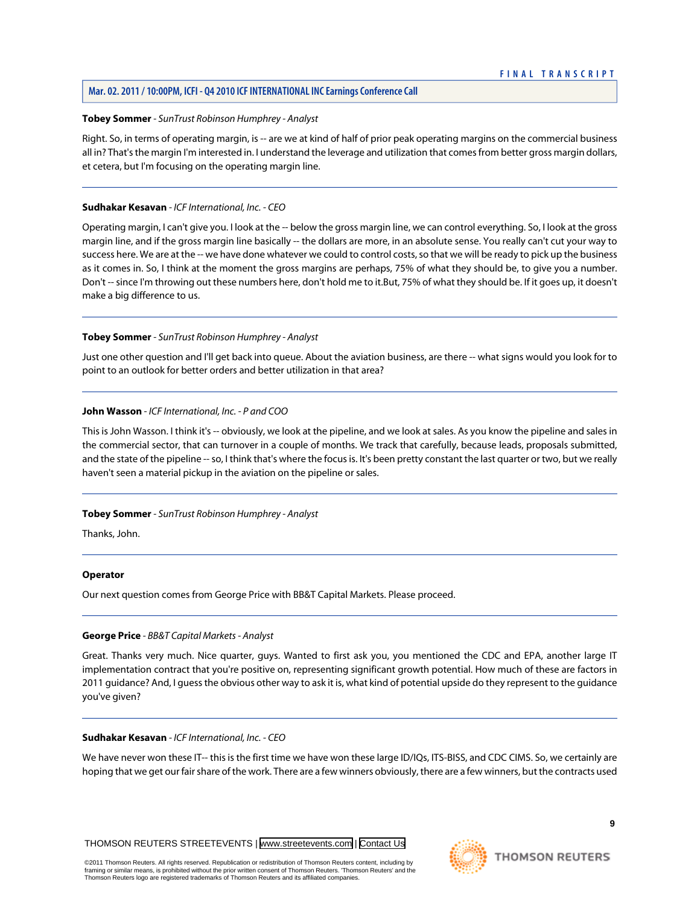# **Mar. 02. 2011 / 10:00PM, ICFI - Q4 2010 ICF INTERNATIONAL INC Earnings Conference Call**

#### **Tobey Sommer** *- SunTrust Robinson Humphrey - Analyst*

Right. So, in terms of operating margin, is -- are we at kind of half of prior peak operating margins on the commercial business all in? That's the margin I'm interested in. I understand the leverage and utilization that comes from better gross margin dollars, et cetera, but I'm focusing on the operating margin line.

#### **Sudhakar Kesavan** *- ICF International, Inc. - CEO*

Operating margin, I can't give you. I look at the -- below the gross margin line, we can control everything. So, I look at the gross margin line, and if the gross margin line basically -- the dollars are more, in an absolute sense. You really can't cut your way to success here. We are at the -- we have done whatever we could to control costs, so that we will be ready to pick up the business as it comes in. So, I think at the moment the gross margins are perhaps, 75% of what they should be, to give you a number. Don't -- since I'm throwing out these numbers here, don't hold me to it.But, 75% of what they should be. If it goes up, it doesn't make a big difference to us.

#### **Tobey Sommer** *- SunTrust Robinson Humphrey - Analyst*

Just one other question and I'll get back into queue. About the aviation business, are there -- what signs would you look for to point to an outlook for better orders and better utilization in that area?

#### **John Wasson** *- ICF International, Inc. - P and COO*

This is John Wasson. I think it's -- obviously, we look at the pipeline, and we look at sales. As you know the pipeline and sales in the commercial sector, that can turnover in a couple of months. We track that carefully, because leads, proposals submitted, and the state of the pipeline -- so, I think that's where the focus is. It's been pretty constant the last quarter or two, but we really haven't seen a material pickup in the aviation on the pipeline or sales.

#### **Tobey Sommer** *- SunTrust Robinson Humphrey - Analyst*

Thanks, John.

#### <span id="page-9-0"></span>**Operator**

Our next question comes from George Price with BB&T Capital Markets. Please proceed.

#### **George Price** *- BB&T Capital Markets - Analyst*

Great. Thanks very much. Nice quarter, guys. Wanted to first ask you, you mentioned the CDC and EPA, another large IT implementation contract that you're positive on, representing significant growth potential. How much of these are factors in 2011 guidance? And, I guess the obvious other way to ask it is, what kind of potential upside do they represent to the guidance you've given?

#### **Sudhakar Kesavan** *- ICF International, Inc. - CEO*

We have never won these IT-- this is the first time we have won these large ID/IQs, ITS-BISS, and CDC CIMS. So, we certainly are hoping that we get our fair share of the work. There are a few winners obviously, there are a few winners, but the contracts used

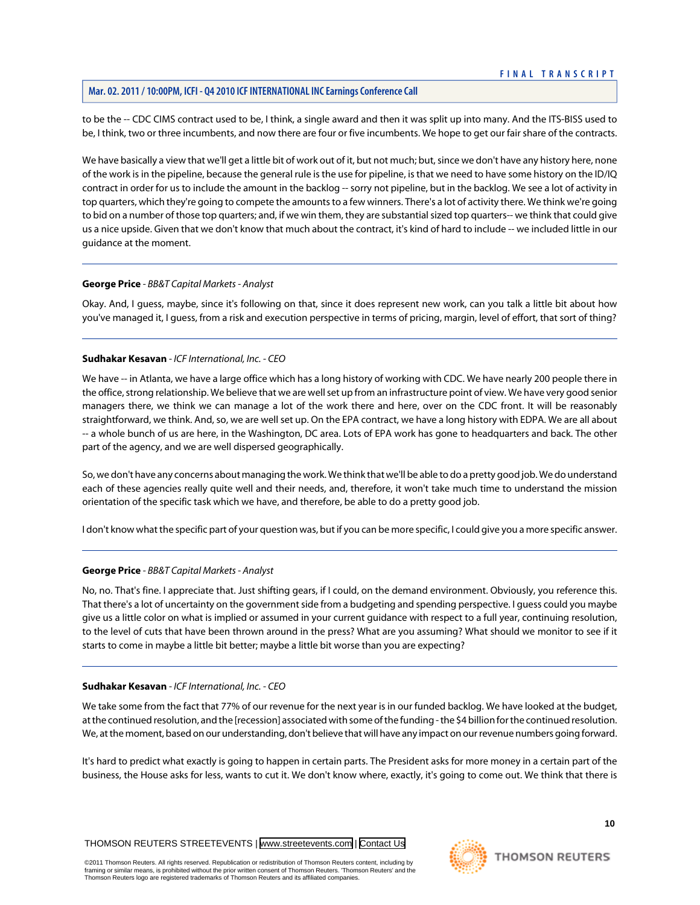to be the -- CDC CIMS contract used to be, I think, a single award and then it was split up into many. And the ITS-BISS used to be, I think, two or three incumbents, and now there are four or five incumbents. We hope to get our fair share of the contracts.

We have basically a view that we'll get a little bit of work out of it, but not much; but, since we don't have any history here, none of the work is in the pipeline, because the general rule is the use for pipeline, is that we need to have some history on the ID/IQ contract in order for us to include the amount in the backlog -- sorry not pipeline, but in the backlog. We see a lot of activity in top quarters, which they're going to compete the amounts to a few winners. There's a lot of activity there. We think we're going to bid on a number of those top quarters; and, if we win them, they are substantial sized top quarters-- we think that could give us a nice upside. Given that we don't know that much about the contract, it's kind of hard to include -- we included little in our guidance at the moment.

#### **George Price** *- BB&T Capital Markets - Analyst*

Okay. And, I guess, maybe, since it's following on that, since it does represent new work, can you talk a little bit about how you've managed it, I guess, from a risk and execution perspective in terms of pricing, margin, level of effort, that sort of thing?

#### **Sudhakar Kesavan** *- ICF International, Inc. - CEO*

We have -- in Atlanta, we have a large office which has a long history of working with CDC. We have nearly 200 people there in the office, strong relationship. We believe that we are well set up from an infrastructure point of view. We have very good senior managers there, we think we can manage a lot of the work there and here, over on the CDC front. It will be reasonably straightforward, we think. And, so, we are well set up. On the EPA contract, we have a long history with EDPA. We are all about -- a whole bunch of us are here, in the Washington, DC area. Lots of EPA work has gone to headquarters and back. The other part of the agency, and we are well dispersed geographically.

So, we don't have any concerns about managing the work. We think that we'll be able to do a pretty good job. We do understand each of these agencies really quite well and their needs, and, therefore, it won't take much time to understand the mission orientation of the specific task which we have, and therefore, be able to do a pretty good job.

I don't know what the specific part of your question was, but if you can be more specific, I could give you a more specific answer.

# **George Price** *- BB&T Capital Markets - Analyst*

No, no. That's fine. I appreciate that. Just shifting gears, if I could, on the demand environment. Obviously, you reference this. That there's a lot of uncertainty on the government side from a budgeting and spending perspective. I guess could you maybe give us a little color on what is implied or assumed in your current guidance with respect to a full year, continuing resolution, to the level of cuts that have been thrown around in the press? What are you assuming? What should we monitor to see if it starts to come in maybe a little bit better; maybe a little bit worse than you are expecting?

#### **Sudhakar Kesavan** *- ICF International, Inc. - CEO*

We take some from the fact that 77% of our revenue for the next year is in our funded backlog. We have looked at the budget, at the continued resolution, and the [recession] associated with some of the funding - the \$4 billion for the continued resolution. We, at the moment, based on our understanding, don't believe that will have any impact on our revenue numbers going forward.

It's hard to predict what exactly is going to happen in certain parts. The President asks for more money in a certain part of the business, the House asks for less, wants to cut it. We don't know where, exactly, it's going to come out. We think that there is

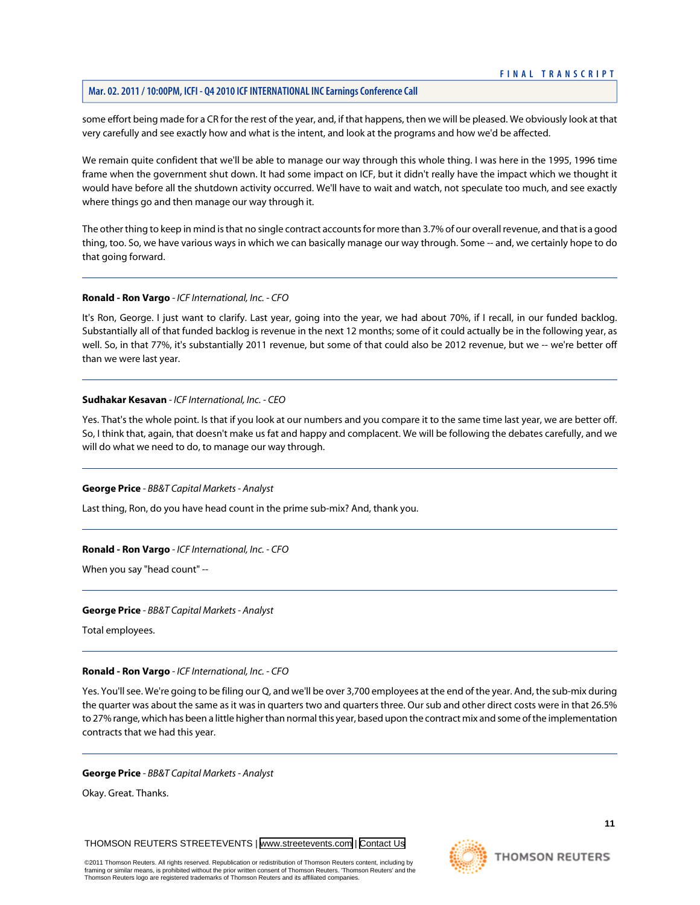# **Mar. 02. 2011 / 10:00PM, ICFI - Q4 2010 ICF INTERNATIONAL INC Earnings Conference Call**

some effort being made for a CR for the rest of the year, and, if that happens, then we will be pleased. We obviously look at that very carefully and see exactly how and what is the intent, and look at the programs and how we'd be affected.

We remain quite confident that we'll be able to manage our way through this whole thing. I was here in the 1995, 1996 time frame when the government shut down. It had some impact on ICF, but it didn't really have the impact which we thought it would have before all the shutdown activity occurred. We'll have to wait and watch, not speculate too much, and see exactly where things go and then manage our way through it.

The other thing to keep in mind is that no single contract accounts for more than 3.7% of our overall revenue, and that is a good thing, too. So, we have various ways in which we can basically manage our way through. Some -- and, we certainly hope to do that going forward.

#### **Ronald - Ron Vargo** *- ICF International, Inc. - CFO*

It's Ron, George. I just want to clarify. Last year, going into the year, we had about 70%, if I recall, in our funded backlog. Substantially all of that funded backlog is revenue in the next 12 months; some of it could actually be in the following year, as well. So, in that 77%, it's substantially 2011 revenue, but some of that could also be 2012 revenue, but we -- we're better off than we were last year.

#### **Sudhakar Kesavan** *- ICF International, Inc. - CEO*

Yes. That's the whole point. Is that if you look at our numbers and you compare it to the same time last year, we are better off. So, I think that, again, that doesn't make us fat and happy and complacent. We will be following the debates carefully, and we will do what we need to do, to manage our way through.

#### **George Price** *- BB&T Capital Markets - Analyst*

Last thing, Ron, do you have head count in the prime sub-mix? And, thank you.

#### **Ronald - Ron Vargo** *- ICF International, Inc. - CFO*

When you say "head count" --

#### **George Price** *- BB&T Capital Markets - Analyst*

Total employees.

#### **Ronald - Ron Vargo** *- ICF International, Inc. - CFO*

Yes. You'll see. We're going to be filing our Q, and we'll be over 3,700 employees at the end of the year. And, the sub-mix during the quarter was about the same as it was in quarters two and quarters three. Our sub and other direct costs were in that 26.5% to 27% range, which has been a little higher than normal this year, based upon the contract mix and some of the implementation contracts that we had this year.

#### **George Price** *- BB&T Capital Markets - Analyst*

Okay. Great. Thanks.

THOMSON REUTERS STREETEVENTS | [www.streetevents.com](http://www.streetevents.com) | [Contact Us](http://www010.streetevents.com/contact.asp)

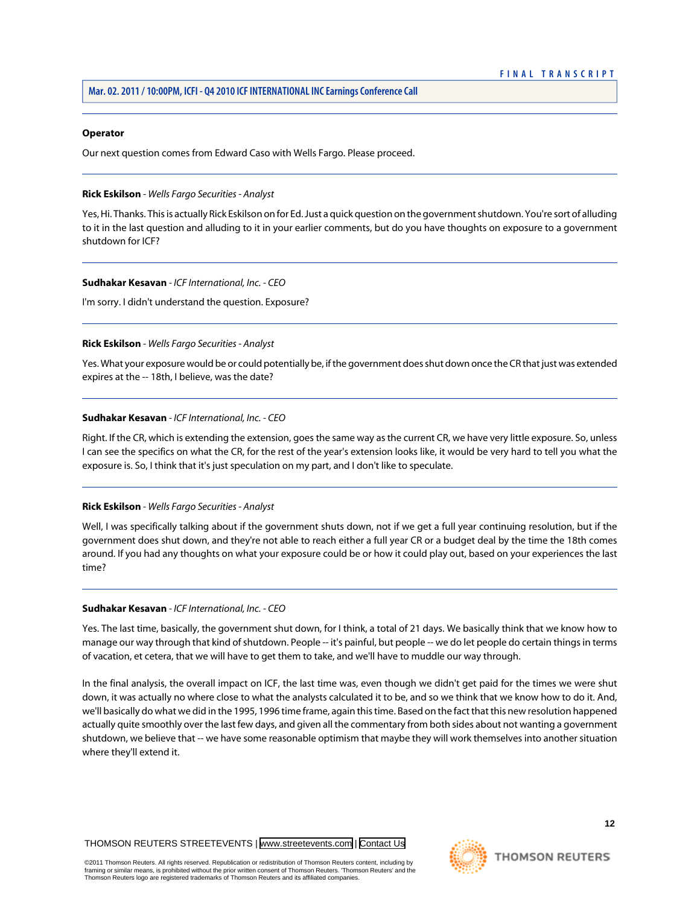#### **Operator**

<span id="page-12-0"></span>Our next question comes from Edward Caso with Wells Fargo. Please proceed.

#### **Rick Eskilson** *- Wells Fargo Securities - Analyst*

Yes, Hi. Thanks. This is actually Rick Eskilson on for Ed. Just a quick question on the government shutdown. You're sort of alluding to it in the last question and alluding to it in your earlier comments, but do you have thoughts on exposure to a government shutdown for ICF?

#### **Sudhakar Kesavan** *- ICF International, Inc. - CEO*

I'm sorry. I didn't understand the question. Exposure?

#### **Rick Eskilson** *- Wells Fargo Securities - Analyst*

Yes. What your exposure would be or could potentially be, if the government does shut down once the CR that just was extended expires at the -- 18th, I believe, was the date?

#### **Sudhakar Kesavan** *- ICF International, Inc. - CEO*

Right. If the CR, which is extending the extension, goes the same way as the current CR, we have very little exposure. So, unless I can see the specifics on what the CR, for the rest of the year's extension looks like, it would be very hard to tell you what the exposure is. So, I think that it's just speculation on my part, and I don't like to speculate.

# **Rick Eskilson** *- Wells Fargo Securities - Analyst*

Well, I was specifically talking about if the government shuts down, not if we get a full year continuing resolution, but if the government does shut down, and they're not able to reach either a full year CR or a budget deal by the time the 18th comes around. If you had any thoughts on what your exposure could be or how it could play out, based on your experiences the last time?

#### **Sudhakar Kesavan** *- ICF International, Inc. - CEO*

Yes. The last time, basically, the government shut down, for I think, a total of 21 days. We basically think that we know how to manage our way through that kind of shutdown. People -- it's painful, but people -- we do let people do certain things in terms of vacation, et cetera, that we will have to get them to take, and we'll have to muddle our way through.

In the final analysis, the overall impact on ICF, the last time was, even though we didn't get paid for the times we were shut down, it was actually no where close to what the analysts calculated it to be, and so we think that we know how to do it. And, we'll basically do what we did in the 1995, 1996 time frame, again this time. Based on the fact that this new resolution happened actually quite smoothly over the last few days, and given all the commentary from both sides about not wanting a government shutdown, we believe that -- we have some reasonable optimism that maybe they will work themselves into another situation where they'll extend it.

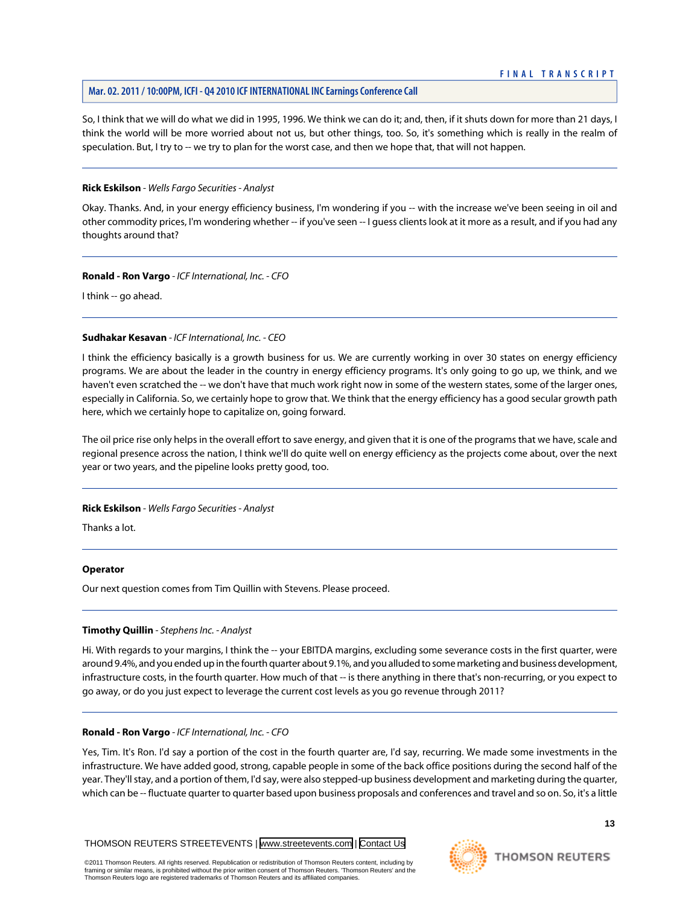# **Mar. 02. 2011 / 10:00PM, ICFI - Q4 2010 ICF INTERNATIONAL INC Earnings Conference Call**

So, I think that we will do what we did in 1995, 1996. We think we can do it; and, then, if it shuts down for more than 21 days, I think the world will be more worried about not us, but other things, too. So, it's something which is really in the realm of speculation. But, I try to -- we try to plan for the worst case, and then we hope that, that will not happen.

#### **Rick Eskilson** *- Wells Fargo Securities - Analyst*

Okay. Thanks. And, in your energy efficiency business, I'm wondering if you -- with the increase we've been seeing in oil and other commodity prices, I'm wondering whether -- if you've seen -- I guess clients look at it more as a result, and if you had any thoughts around that?

#### **Ronald - Ron Vargo** *- ICF International, Inc. - CFO*

I think -- go ahead.

#### **Sudhakar Kesavan** *- ICF International, Inc. - CEO*

I think the efficiency basically is a growth business for us. We are currently working in over 30 states on energy efficiency programs. We are about the leader in the country in energy efficiency programs. It's only going to go up, we think, and we haven't even scratched the -- we don't have that much work right now in some of the western states, some of the larger ones, especially in California. So, we certainly hope to grow that. We think that the energy efficiency has a good secular growth path here, which we certainly hope to capitalize on, going forward.

The oil price rise only helps in the overall effort to save energy, and given that it is one of the programs that we have, scale and regional presence across the nation, I think we'll do quite well on energy efficiency as the projects come about, over the next year or two years, and the pipeline looks pretty good, too.

# **Rick Eskilson** *- Wells Fargo Securities - Analyst*

Thanks a lot.

#### <span id="page-13-0"></span>**Operator**

Our next question comes from Tim Quillin with Stevens. Please proceed.

#### **Timothy Quillin** *- Stephens Inc. - Analyst*

Hi. With regards to your margins, I think the -- your EBITDA margins, excluding some severance costs in the first quarter, were around 9.4%, and you ended up in the fourth quarter about 9.1%, and you alluded to some marketing and business development, infrastructure costs, in the fourth quarter. How much of that -- is there anything in there that's non-recurring, or you expect to go away, or do you just expect to leverage the current cost levels as you go revenue through 2011?

#### **Ronald - Ron Vargo** *- ICF International, Inc. - CFO*

Yes, Tim. It's Ron. I'd say a portion of the cost in the fourth quarter are, I'd say, recurring. We made some investments in the infrastructure. We have added good, strong, capable people in some of the back office positions during the second half of the year. They'll stay, and a portion of them, I'd say, were also stepped-up business development and marketing during the quarter, which can be -- fluctuate quarter to quarter based upon business proposals and conferences and travel and so on. So, it's a little

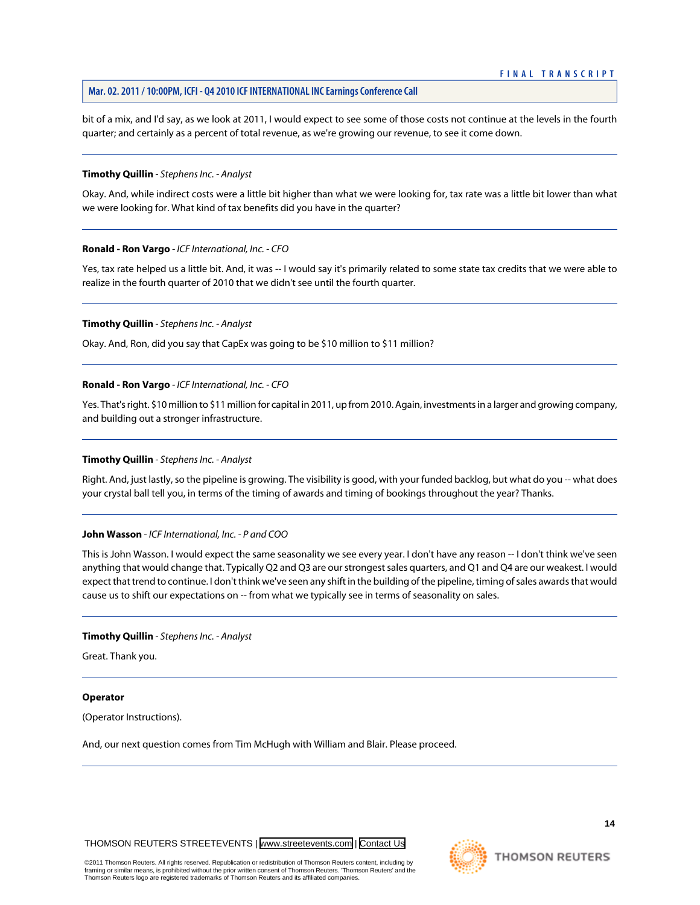bit of a mix, and I'd say, as we look at 2011, I would expect to see some of those costs not continue at the levels in the fourth quarter; and certainly as a percent of total revenue, as we're growing our revenue, to see it come down.

#### **Timothy Quillin** *- Stephens Inc. - Analyst*

Okay. And, while indirect costs were a little bit higher than what we were looking for, tax rate was a little bit lower than what we were looking for. What kind of tax benefits did you have in the quarter?

#### **Ronald - Ron Vargo** *- ICF International, Inc. - CFO*

Yes, tax rate helped us a little bit. And, it was -- I would say it's primarily related to some state tax credits that we were able to realize in the fourth quarter of 2010 that we didn't see until the fourth quarter.

#### **Timothy Quillin** *- Stephens Inc. - Analyst*

Okay. And, Ron, did you say that CapEx was going to be \$10 million to \$11 million?

#### **Ronald - Ron Vargo** *- ICF International, Inc. - CFO*

Yes. That's right. \$10 million to \$11 million for capital in 2011, up from 2010. Again, investments in a larger and growing company, and building out a stronger infrastructure.

#### **Timothy Quillin** *- Stephens Inc. - Analyst*

Right. And, just lastly, so the pipeline is growing. The visibility is good, with your funded backlog, but what do you -- what does your crystal ball tell you, in terms of the timing of awards and timing of bookings throughout the year? Thanks.

#### **John Wasson** *- ICF International, Inc. - P and COO*

This is John Wasson. I would expect the same seasonality we see every year. I don't have any reason -- I don't think we've seen anything that would change that. Typically Q2 and Q3 are our strongest sales quarters, and Q1 and Q4 are our weakest. I would expect that trend to continue. I don't think we've seen any shift in the building of the pipeline, timing of sales awards that would cause us to shift our expectations on -- from what we typically see in terms of seasonality on sales.

#### **Timothy Quillin** *- Stephens Inc. - Analyst*

Great. Thank you.

#### **Operator**

(Operator Instructions).

And, our next question comes from Tim McHugh with William and Blair. Please proceed.

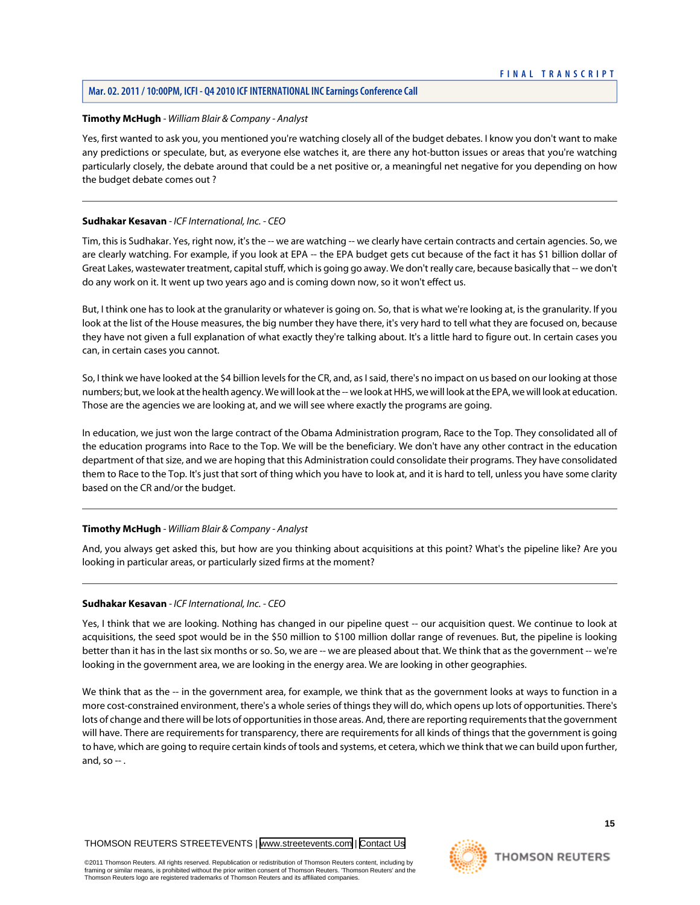# **Mar. 02. 2011 / 10:00PM, ICFI - Q4 2010 ICF INTERNATIONAL INC Earnings Conference Call**

#### <span id="page-15-0"></span>**Timothy McHugh** *- William Blair & Company - Analyst*

Yes, first wanted to ask you, you mentioned you're watching closely all of the budget debates. I know you don't want to make any predictions or speculate, but, as everyone else watches it, are there any hot-button issues or areas that you're watching particularly closely, the debate around that could be a net positive or, a meaningful net negative for you depending on how the budget debate comes out ?

#### **Sudhakar Kesavan** *- ICF International, Inc. - CEO*

Tim, this is Sudhakar. Yes, right now, it's the -- we are watching -- we clearly have certain contracts and certain agencies. So, we are clearly watching. For example, if you look at EPA -- the EPA budget gets cut because of the fact it has \$1 billion dollar of Great Lakes, wastewater treatment, capital stuff, which is going go away. We don't really care, because basically that -- we don't do any work on it. It went up two years ago and is coming down now, so it won't effect us.

But, I think one has to look at the granularity or whatever is going on. So, that is what we're looking at, is the granularity. If you look at the list of the House measures, the big number they have there, it's very hard to tell what they are focused on, because they have not given a full explanation of what exactly they're talking about. It's a little hard to figure out. In certain cases you can, in certain cases you cannot.

So, I think we have looked at the \$4 billion levels for the CR, and, as I said, there's no impact on us based on our looking at those numbers; but, we look at the health agency. We will look at the -- we look at HHS, we will look at the EPA, we will look at education. Those are the agencies we are looking at, and we will see where exactly the programs are going.

In education, we just won the large contract of the Obama Administration program, Race to the Top. They consolidated all of the education programs into Race to the Top. We will be the beneficiary. We don't have any other contract in the education department of that size, and we are hoping that this Administration could consolidate their programs. They have consolidated them to Race to the Top. It's just that sort of thing which you have to look at, and it is hard to tell, unless you have some clarity based on the CR and/or the budget.

#### **Timothy McHugh** *- William Blair & Company - Analyst*

And, you always get asked this, but how are you thinking about acquisitions at this point? What's the pipeline like? Are you looking in particular areas, or particularly sized firms at the moment?

#### **Sudhakar Kesavan** *- ICF International, Inc. - CEO*

Yes, I think that we are looking. Nothing has changed in our pipeline quest -- our acquisition quest. We continue to look at acquisitions, the seed spot would be in the \$50 million to \$100 million dollar range of revenues. But, the pipeline is looking better than it has in the last six months or so. So, we are -- we are pleased about that. We think that as the government -- we're looking in the government area, we are looking in the energy area. We are looking in other geographies.

We think that as the -- in the government area, for example, we think that as the government looks at ways to function in a more cost-constrained environment, there's a whole series of things they will do, which opens up lots of opportunities. There's lots of change and there will be lots of opportunities in those areas. And, there are reporting requirements that the government will have. There are requirements for transparency, there are requirements for all kinds of things that the government is going to have, which are going to require certain kinds of tools and systems, et cetera, which we think that we can build upon further, and, so  $-$  .

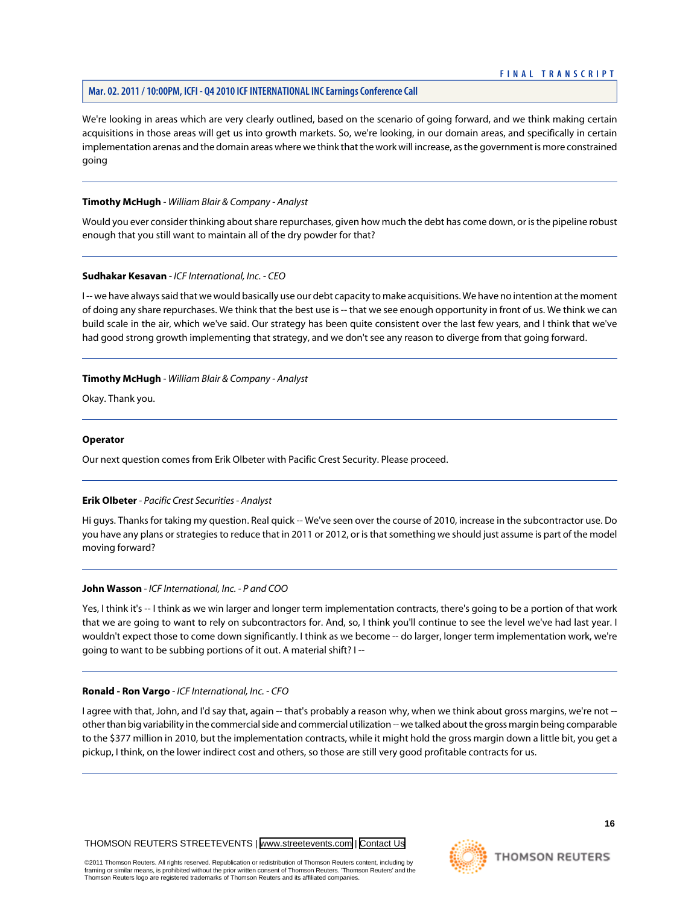# **Mar. 02. 2011 / 10:00PM, ICFI - Q4 2010 ICF INTERNATIONAL INC Earnings Conference Call**

We're looking in areas which are very clearly outlined, based on the scenario of going forward, and we think making certain acquisitions in those areas will get us into growth markets. So, we're looking, in our domain areas, and specifically in certain implementation arenas and the domain areas where we think that the work will increase, as the government is more constrained going

#### **Timothy McHugh** *- William Blair & Company - Analyst*

Would you ever consider thinking about share repurchases, given how much the debt has come down, or is the pipeline robust enough that you still want to maintain all of the dry powder for that?

#### **Sudhakar Kesavan** *- ICF International, Inc. - CEO*

I -- we have always said that we would basically use our debt capacity to make acquisitions. We have no intention at the moment of doing any share repurchases. We think that the best use is -- that we see enough opportunity in front of us. We think we can build scale in the air, which we've said. Our strategy has been quite consistent over the last few years, and I think that we've had good strong growth implementing that strategy, and we don't see any reason to diverge from that going forward.

#### **Timothy McHugh** *- William Blair & Company - Analyst*

Okay. Thank you.

#### **Operator**

<span id="page-16-0"></span>Our next question comes from Erik Olbeter with Pacific Crest Security. Please proceed.

#### **Erik Olbeter** *- Pacific Crest Securities - Analyst*

Hi guys. Thanks for taking my question. Real quick -- We've seen over the course of 2010, increase in the subcontractor use. Do you have any plans or strategies to reduce that in 2011 or 2012, or is that something we should just assume is part of the model moving forward?

#### **John Wasson** *- ICF International, Inc. - P and COO*

Yes, I think it's -- I think as we win larger and longer term implementation contracts, there's going to be a portion of that work that we are going to want to rely on subcontractors for. And, so, I think you'll continue to see the level we've had last year. I wouldn't expect those to come down significantly. I think as we become -- do larger, longer term implementation work, we're going to want to be subbing portions of it out. A material shift? I --

#### **Ronald - Ron Vargo** *- ICF International, Inc. - CFO*

I agree with that, John, and I'd say that, again -- that's probably a reason why, when we think about gross margins, we're not - other than big variability in the commercial side and commercial utilization -- we talked about the gross margin being comparable to the \$377 million in 2010, but the implementation contracts, while it might hold the gross margin down a little bit, you get a pickup, I think, on the lower indirect cost and others, so those are still very good profitable contracts for us.

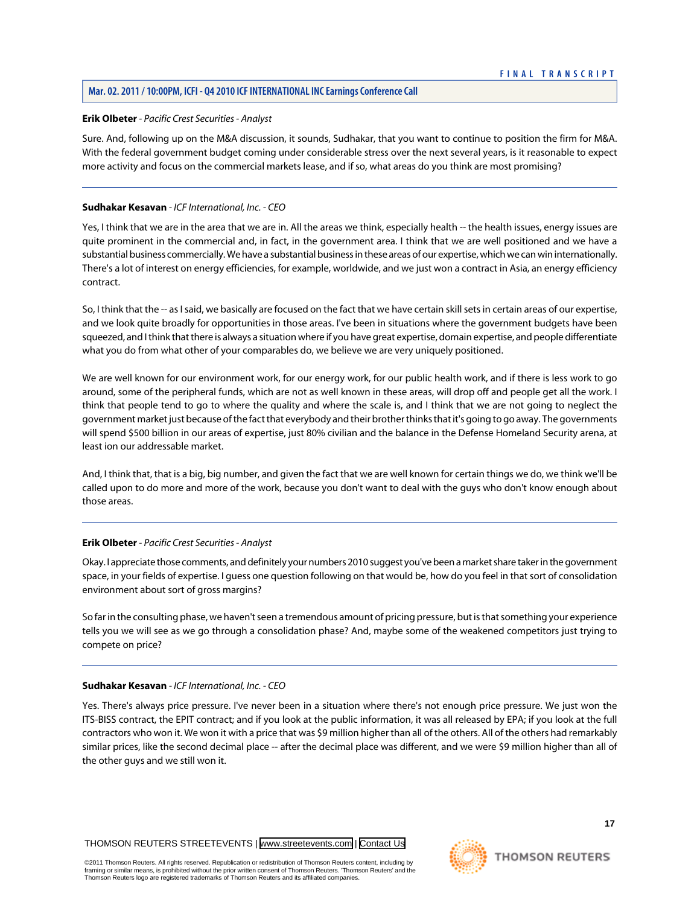#### **Erik Olbeter** *- Pacific Crest Securities - Analyst*

Sure. And, following up on the M&A discussion, it sounds, Sudhakar, that you want to continue to position the firm for M&A. With the federal government budget coming under considerable stress over the next several years, is it reasonable to expect more activity and focus on the commercial markets lease, and if so, what areas do you think are most promising?

# **Sudhakar Kesavan** *- ICF International, Inc. - CEO*

Yes, I think that we are in the area that we are in. All the areas we think, especially health -- the health issues, energy issues are quite prominent in the commercial and, in fact, in the government area. I think that we are well positioned and we have a substantial business commercially. We have a substantial business in these areas of our expertise, which we can win internationally. There's a lot of interest on energy efficiencies, for example, worldwide, and we just won a contract in Asia, an energy efficiency contract.

So, I think that the -- as I said, we basically are focused on the fact that we have certain skill sets in certain areas of our expertise, and we look quite broadly for opportunities in those areas. I've been in situations where the government budgets have been squeezed, and I think that there is always a situation where if you have great expertise, domain expertise, and people differentiate what you do from what other of your comparables do, we believe we are very uniquely positioned.

We are well known for our environment work, for our energy work, for our public health work, and if there is less work to go around, some of the peripheral funds, which are not as well known in these areas, will drop off and people get all the work. I think that people tend to go to where the quality and where the scale is, and I think that we are not going to neglect the government market just because of the fact that everybody and their brother thinks that it's going to go away. The governments will spend \$500 billion in our areas of expertise, just 80% civilian and the balance in the Defense Homeland Security arena, at least ion our addressable market.

And, I think that, that is a big, big number, and given the fact that we are well known for certain things we do, we think we'll be called upon to do more and more of the work, because you don't want to deal with the guys who don't know enough about those areas.

# **Erik Olbeter** *- Pacific Crest Securities - Analyst*

Okay. I appreciate those comments, and definitely your numbers 2010 suggest you've been a market share taker in the government space, in your fields of expertise. I guess one question following on that would be, how do you feel in that sort of consolidation environment about sort of gross margins?

So far in the consulting phase, we haven't seen a tremendous amount of pricing pressure, but is that something your experience tells you we will see as we go through a consolidation phase? And, maybe some of the weakened competitors just trying to compete on price?

# **Sudhakar Kesavan** *- ICF International, Inc. - CEO*

Yes. There's always price pressure. I've never been in a situation where there's not enough price pressure. We just won the ITS-BISS contract, the EPIT contract; and if you look at the public information, it was all released by EPA; if you look at the full contractors who won it. We won it with a price that was \$9 million higher than all of the others. All of the others had remarkably similar prices, like the second decimal place -- after the decimal place was different, and we were \$9 million higher than all of the other guys and we still won it.

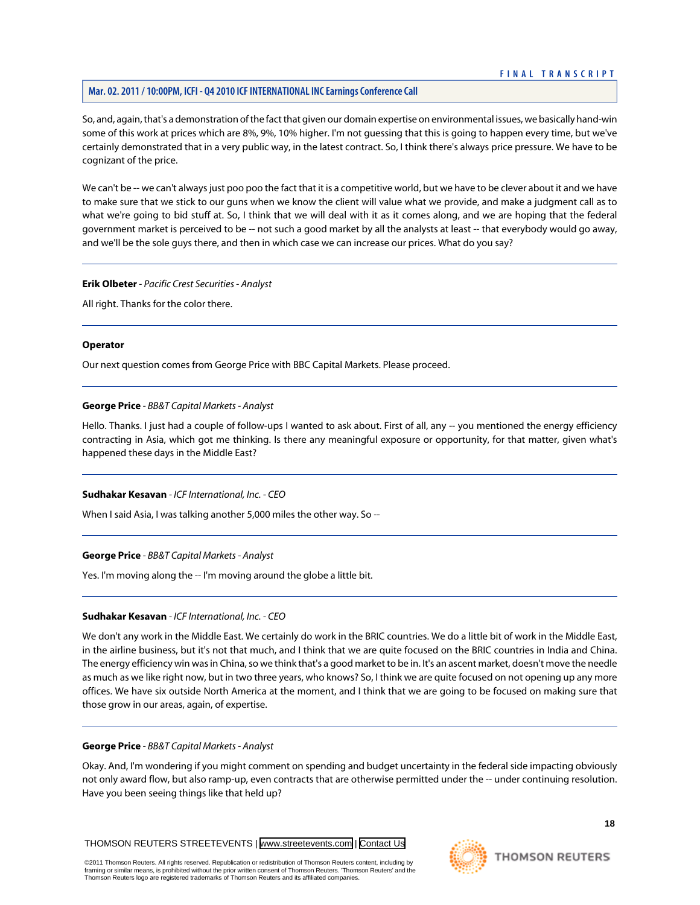# **Mar. 02. 2011 / 10:00PM, ICFI - Q4 2010 ICF INTERNATIONAL INC Earnings Conference Call**

So, and, again, that's a demonstration of the fact that given our domain expertise on environmental issues, we basically hand-win some of this work at prices which are 8%, 9%, 10% higher. I'm not guessing that this is going to happen every time, but we've certainly demonstrated that in a very public way, in the latest contract. So, I think there's always price pressure. We have to be cognizant of the price.

We can't be -- we can't always just poo poo the fact that it is a competitive world, but we have to be clever about it and we have to make sure that we stick to our guns when we know the client will value what we provide, and make a judgment call as to what we're going to bid stuff at. So, I think that we will deal with it as it comes along, and we are hoping that the federal government market is perceived to be -- not such a good market by all the analysts at least -- that everybody would go away, and we'll be the sole guys there, and then in which case we can increase our prices. What do you say?

#### **Erik Olbeter** *- Pacific Crest Securities - Analyst*

All right. Thanks for the color there.

#### **Operator**

Our next question comes from George Price with BBC Capital Markets. Please proceed.

#### **George Price** *- BB&T Capital Markets - Analyst*

Hello. Thanks. I just had a couple of follow-ups I wanted to ask about. First of all, any -- you mentioned the energy efficiency contracting in Asia, which got me thinking. Is there any meaningful exposure or opportunity, for that matter, given what's happened these days in the Middle East?

#### **Sudhakar Kesavan** *- ICF International, Inc. - CEO*

When I said Asia, I was talking another 5,000 miles the other way. So --

#### **George Price** *- BB&T Capital Markets - Analyst*

Yes. I'm moving along the -- I'm moving around the globe a little bit.

#### **Sudhakar Kesavan** *- ICF International, Inc. - CEO*

We don't any work in the Middle East. We certainly do work in the BRIC countries. We do a little bit of work in the Middle East, in the airline business, but it's not that much, and I think that we are quite focused on the BRIC countries in India and China. The energy efficiency win was in China, so we think that's a good market to be in. It's an ascent market, doesn't move the needle as much as we like right now, but in two three years, who knows? So, I think we are quite focused on not opening up any more offices. We have six outside North America at the moment, and I think that we are going to be focused on making sure that those grow in our areas, again, of expertise.

#### **George Price** *- BB&T Capital Markets - Analyst*

Okay. And, I'm wondering if you might comment on spending and budget uncertainty in the federal side impacting obviously not only award flow, but also ramp-up, even contracts that are otherwise permitted under the -- under continuing resolution. Have you been seeing things like that held up?